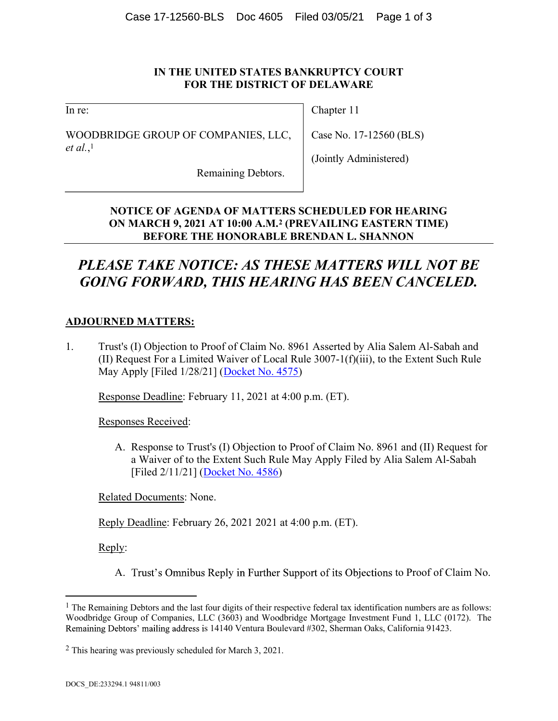### IN THE UNITED STATES BANKRUPTCY COURT FOR THE DISTRICT OF DELAWARE

In re:

WOODBRIDGE GROUP OF COMPANIES, LLC, et al., 1

Chapter 11

Case No. 17-12560 (BLS)

(Jointly Administered)

Remaining Debtors.

## NOTICE OF AGENDA OF MATTERS SCHEDULED FOR HEARING ON MARCH 9, 2021 AT 10:00 A.M.2 (PREVAILING EASTERN TIME) BEFORE THE HONORABLE BRENDAN L. SHANNON

# PLEASE TAKE NOTICE: AS THESE MATTERS WILL NOT BE GOING FORWARD, THIS HEARING HAS BEEN CANCELED.

## ADJOURNED MATTERS:

1. Trust's (I) Objection to Proof of Claim No. 8961 Asserted by Alia Salem Al-Sabah and (II) Request For a Limited Waiver of Local Rule 3007-1(f)(iii), to the Extent Such Rule May Apply [Filed 1/28/21] (Docket No. 4575)

Response Deadline: February 11, 2021 at 4:00 p.m. (ET).

Responses Received:

A. Response to Trust's (I) Objection to Proof of Claim No. 8961 and (II) Request for a Waiver of to the Extent Such Rule May Apply Filed by Alia Salem Al-Sabah [Filed 2/11/21] (Docket No. 4586)

Related Documents: None.

Reply Deadline: February 26, 2021 2021 at 4:00 p.m. (ET).

Reply:

A. Trust's Omnibus Reply in Further Support of its Objections to Proof of Claim No.

 $\overline{a}$ 

<sup>&</sup>lt;sup>1</sup> The Remaining Debtors and the last four digits of their respective federal tax identification numbers are as follows: Woodbridge Group of Companies, LLC (3603) and Woodbridge Mortgage Investment Fund 1, LLC (0172). The Remaining Debtors' mailing address is 14140 Ventura Boulevard #302, Sherman Oaks, California 91423.

<sup>2</sup> This hearing was previously scheduled for March 3, 2021.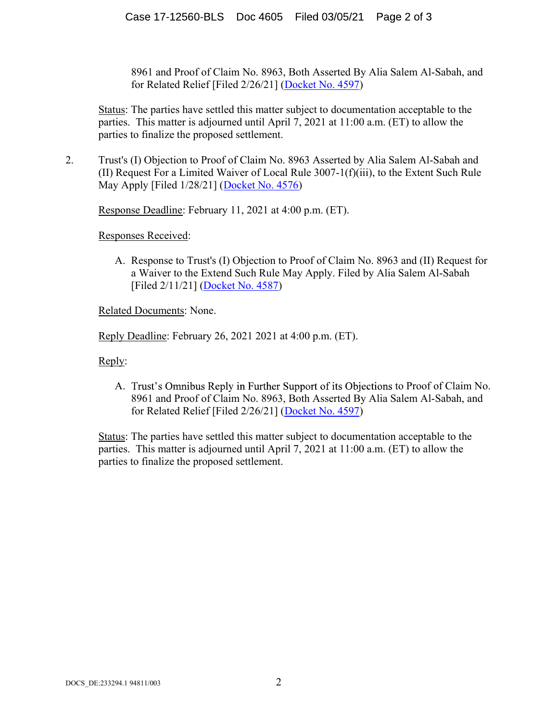8961 and Proof of Claim No. 8963, Both Asserted By Alia Salem Al-Sabah, and for Related Relief [Filed 2/26/21] (Docket No. 4597)

Status: The parties have settled this matter subject to documentation acceptable to the parties. This matter is adjourned until April 7, 2021 at 11:00 a.m. (ET) to allow the parties to finalize the proposed settlement.

2. Trust's (I) Objection to Proof of Claim No. 8963 Asserted by Alia Salem Al-Sabah and (II) Request For a Limited Waiver of Local Rule 3007-1(f)(iii), to the Extent Such Rule May Apply [Filed 1/28/21] (Docket No. 4576)

Response Deadline: February 11, 2021 at 4:00 p.m. (ET).

Responses Received:

A. Response to Trust's (I) Objection to Proof of Claim No. 8963 and (II) Request for a Waiver to the Extend Such Rule May Apply. Filed by Alia Salem Al-Sabah [Filed 2/11/21] (Docket No. 4587)

Related Documents: None.

Reply Deadline: February 26, 2021 2021 at 4:00 p.m. (ET).

Reply:

A. Trust's Omnibus Reply in Further Support of its Objections to Proof of Claim No. 8961 and Proof of Claim No. 8963, Both Asserted By Alia Salem Al-Sabah, and for Related Relief [Filed 2/26/21] (Docket No. 4597)

Status: The parties have settled this matter subject to documentation acceptable to the parties. This matter is adjourned until April 7, 2021 at 11:00 a.m. (ET) to allow the parties to finalize the proposed settlement.